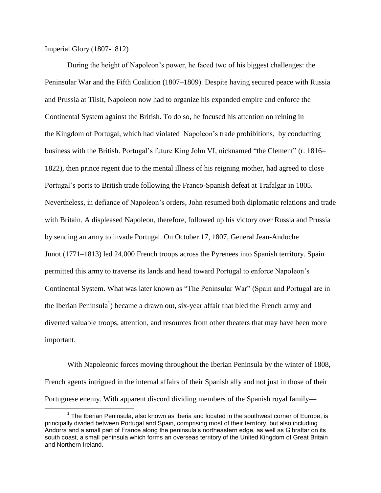Imperial Glory (1807-1812)

 $\overline{a}$ 

During the height of Napoleon's power, he faced two of his biggest challenges: the Peninsular War and the Fifth Coalition (1807–1809). Despite having secured peace with Russia and Prussia at Tilsit, Napoleon now had to organize his expanded empire and enforce the Continental System against the British. To do so, he focused his attention on reining in the Kingdom of Portugal, which had violated Napoleon's trade prohibitions, by conducting business with the British. Portugal's future King John VI, nicknamed "the Clement" (r. 1816– 1822), then prince regent due to the mental illness of his reigning mother, had agreed to close Portugal's ports to British trade following the Franco-Spanish defeat at Trafalgar in 1805. Nevertheless, in defiance of Napoleon's orders, John resumed both diplomatic relations and trade with Britain. A displeased Napoleon, therefore, followed up his victory over Russia and Prussia by sending an army to invade Portugal. On October 17, 1807, General Jean-Andoche Junot (1771–1813) led 24,000 French troops across the Pyrenees into Spanish territory. Spain permitted this army to traverse its lands and head toward Portugal to enforce Napoleon's Continental System. What was later known as "The Peninsular War" (Spain and Portugal are in the Iberian Peninsula<sup>1</sup>) became a drawn out, six-year affair that bled the French army and diverted valuable troops, attention, and resources from other theaters that may have been more important.

With Napoleonic forces moving throughout the Iberian Peninsula by the winter of 1808, French agents intrigued in the internal affairs of their Spanish ally and not just in those of their Portuguese enemy. With apparent discord dividing members of the Spanish royal family—

 $1$  The Iberian Peninsula, also known as Iberia and located in the southwest corner of Europe, is principally divided between Portugal and Spain, comprising most of their territory, but also including Andorra and a small part of France along the peninsula's northeastern edge, as well as Gibraltar on its south coast, a small peninsula which forms an overseas territory of the United Kingdom of Great Britain and Northern Ireland.